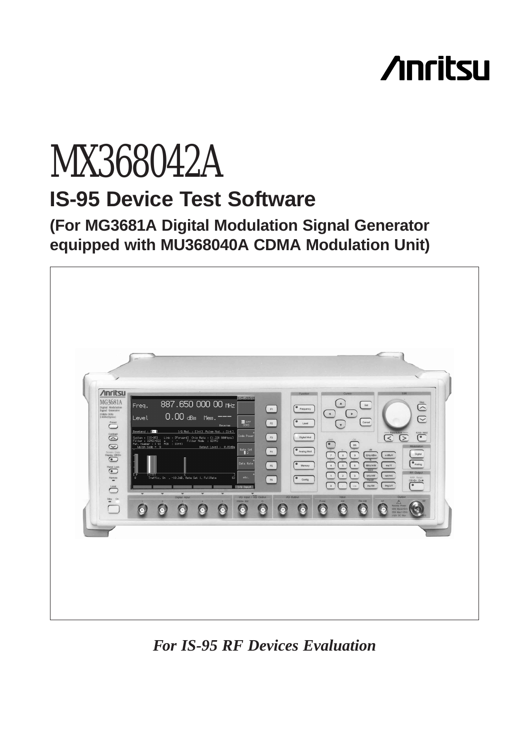# **Anritsu**

## MX368042A **IS-95 Device Test Software**

**(For MG3681A Digital Modulation Signal Generator equipped with MU368040A CDMA Modulation Unit)**



*For IS-95 RF Devices Evaluation*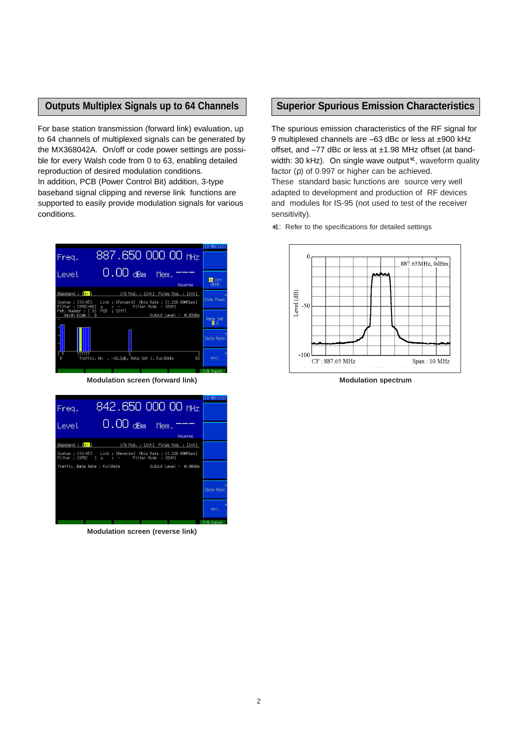#### **Outputs Multiplex Signals up to 64 Channels**

For base station transmission (forward link) evaluation, up to 64 channels of multiplexed signals can be generated by the MX368042A. On/off or code power settings are possible for every Walsh code from 0 to 63, enabling detailed reproduction of desired modulation conditions. In addition, PCB (Power Control Bit) addition, 3-type baseband signal clipping and reverse link functions are supported to easily provide modulation signals for various conditions.

| Freq.                                  | 887.650 000 00 MHz                                                        | $IS-95(1/2)$                      |
|----------------------------------------|---------------------------------------------------------------------------|-----------------------------------|
| Level                                  | $0.00$ dBm<br>Mem.<br>Reverse                                             | <b>On</b> Off<br><b>OCNS</b>      |
| Baseband : [On ]                       | I/Q Mod. : [Int] Pulse Mod. : [Int]                                       |                                   |
| Svstem : [IS-95]<br>Filter : [SPEC+EQ] | Link : [Forward] Chip Rate : [1.228 800Mcps]<br>a : - Filter Mode : [EVM] | Code Power                        |
| Pat. Number : [ 9]<br>$Walsh Code = 9$ | PCB : [Off]<br>Output Level - 0.03dBm                                     |                                   |
|                                        |                                                                           | <b>Rate Set</b><br>$\mathbb{I}$ 2 |
|                                        |                                                                           | Data Rate                         |
| T P<br>Ø                               | 63<br>Traffic. On . -10.3dB. Rate Set 1. FullRate                         | etc.                              |
|                                        |                                                                           | $L/0$ Input                       |

**Modulation screen (forward link)**

|                                |                                                                                                                                     |                                     |         | $IS-95(1/2)$ |
|--------------------------------|-------------------------------------------------------------------------------------------------------------------------------------|-------------------------------------|---------|--------------|
| Freq.                          |                                                                                                                                     | 842.650 000 00 MHz                  |         |              |
| Level                          | $0.00$ dBm                                                                                                                          | Mem.                                |         |              |
|                                |                                                                                                                                     |                                     | Reverse |              |
| Baseband : [ <mark>On ]</mark> |                                                                                                                                     | I/Q Mod. : [Int] Pulse Mod. : [Int] |         |              |
|                                | System : [IS-95] Link : [Reverse] Chip Rate : [1.228 800Mcps]<br>Filter : LSPEC $\overline{a}$ : $\overline{b}$ Filter Mode : LEVM1 |                                     |         |              |
|                                |                                                                                                                                     |                                     |         |              |
|                                |                                                                                                                                     |                                     |         |              |
|                                |                                                                                                                                     |                                     |         | Data Rate    |
|                                |                                                                                                                                     |                                     |         | etc.         |
|                                |                                                                                                                                     |                                     |         | /Q Input     |

**Modulation screen (reverse link)**

#### **Superior Spurious Emission Characteristics**

The spurious emission characteristics of the RF signal for 9 multiplexed channels are –63 dBc or less at ±900 kHz offset, and –77 dBc or less at ±1.98 MHz offset (at bandwidth: 30 kHz). On single wave output<sup>∗1</sup>, waveform quality factor (ρ) of 0.997 or higher can be achieved. These standard basic functions are source very well adapted to development and production of RF devices and modules for IS-95 (not used to test of the receiver sensitivity).

∗1: Refer to the specifications for detailed settings



**Modulation spectrum**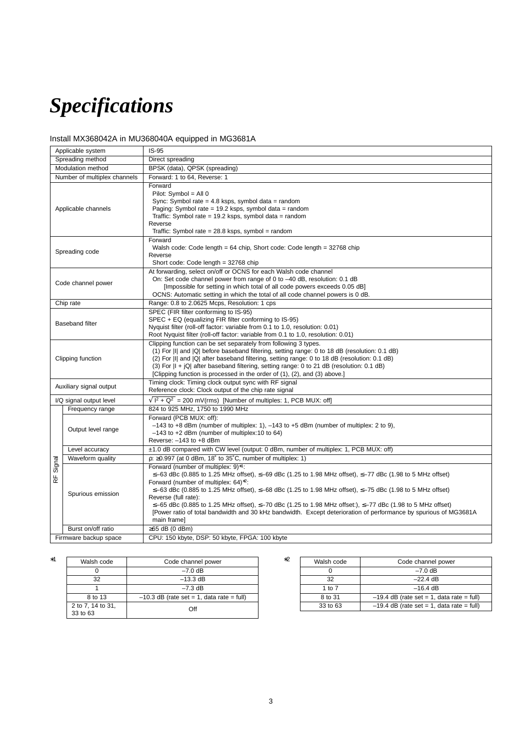## *Specifications*

### Install MX368042A in MU368040A equipped in MG3681A

| Applicable system<br>$IS-95$                                            |                                                                                                                                                                                                                                                                                                                                                                                                                                                                                                                                                                                                                                                  |                                                                                                                                                                                                                                                                                                                                                                                                                                              |  |
|-------------------------------------------------------------------------|--------------------------------------------------------------------------------------------------------------------------------------------------------------------------------------------------------------------------------------------------------------------------------------------------------------------------------------------------------------------------------------------------------------------------------------------------------------------------------------------------------------------------------------------------------------------------------------------------------------------------------------------------|----------------------------------------------------------------------------------------------------------------------------------------------------------------------------------------------------------------------------------------------------------------------------------------------------------------------------------------------------------------------------------------------------------------------------------------------|--|
| Spreading method                                                        |                                                                                                                                                                                                                                                                                                                                                                                                                                                                                                                                                                                                                                                  | Direct spreading                                                                                                                                                                                                                                                                                                                                                                                                                             |  |
| Modulation method                                                       |                                                                                                                                                                                                                                                                                                                                                                                                                                                                                                                                                                                                                                                  | BPSK (data), QPSK (spreading)                                                                                                                                                                                                                                                                                                                                                                                                                |  |
| Number of multiplex channels                                            |                                                                                                                                                                                                                                                                                                                                                                                                                                                                                                                                                                                                                                                  | Forward: 1 to 64, Reverse: 1                                                                                                                                                                                                                                                                                                                                                                                                                 |  |
| Applicable channels                                                     |                                                                                                                                                                                                                                                                                                                                                                                                                                                                                                                                                                                                                                                  | Forward<br>Pilot: Symbol = All $0$<br>Sync: Symbol rate = 4.8 ksps, symbol data = random<br>Paging: Symbol rate = 19.2 ksps, symbol data = random<br>Traffic: Symbol rate = $19.2$ ksps, symbol data = random<br>Reverse<br>Traffic: Symbol rate = $28.8$ ksps, symbol = random                                                                                                                                                              |  |
| Spreading code                                                          |                                                                                                                                                                                                                                                                                                                                                                                                                                                                                                                                                                                                                                                  | Forward<br>Walsh code: Code length = 64 chip, Short code: Code length = 32768 chip<br>Reverse<br>Short code: Code length = $32768$ chip                                                                                                                                                                                                                                                                                                      |  |
| Code channel power                                                      |                                                                                                                                                                                                                                                                                                                                                                                                                                                                                                                                                                                                                                                  | At forwarding, select on/off or OCNS for each Walsh code channel<br>On: Set code channel power from range of 0 to -40 dB, resolution: 0.1 dB<br>[Impossible for setting in which total of all code powers exceeds 0.05 dB]<br>OCNS: Automatic setting in which the total of all code channel powers is 0 dB.                                                                                                                                 |  |
| Chip rate                                                               |                                                                                                                                                                                                                                                                                                                                                                                                                                                                                                                                                                                                                                                  | Range: 0.8 to 2.0625 Mcps, Resolution: 1 cps                                                                                                                                                                                                                                                                                                                                                                                                 |  |
| <b>Baseband filter</b>                                                  |                                                                                                                                                                                                                                                                                                                                                                                                                                                                                                                                                                                                                                                  | SPEC (FIR filter conforming to IS-95)<br>SPEC + EQ (equalizing FIR filter conforming to IS-95)<br>Nyquist filter (roll-off factor: variable from 0.1 to 1.0, resolution: 0.01)<br>Root Nyquist filter (roll-off factor: variable from 0.1 to 1.0, resolution: 0.01)                                                                                                                                                                          |  |
| Clipping function                                                       |                                                                                                                                                                                                                                                                                                                                                                                                                                                                                                                                                                                                                                                  | Clipping function can be set separately from following 3 types.<br>(1) For III and IQI before baseband filtering, setting range: 0 to 18 dB (resolution: 0.1 dB)<br>(2) For  I  and  Q  after baseband filtering, setting range: 0 to 18 dB (resolution: 0.1 dB)<br>(3) For $ I + iQ $ after baseband filtering, setting range: 0 to 21 dB (resolution: 0.1 dB)<br>[Clipping function is processed in the order of (1), (2), and (3) above.] |  |
| Auxiliary signal output                                                 |                                                                                                                                                                                                                                                                                                                                                                                                                                                                                                                                                                                                                                                  | Timing clock: Timing clock output sync with RF signal<br>Reference clock: Clock output of the chip rate signal                                                                                                                                                                                                                                                                                                                               |  |
| I/Q signal output level                                                 |                                                                                                                                                                                                                                                                                                                                                                                                                                                                                                                                                                                                                                                  | $\sqrt{1^2 + Q^2}$ = 200 mV(rms) [Number of multiples: 1, PCB MUX: off]                                                                                                                                                                                                                                                                                                                                                                      |  |
|                                                                         | Frequency range                                                                                                                                                                                                                                                                                                                                                                                                                                                                                                                                                                                                                                  | 824 to 925 MHz, 1750 to 1990 MHz                                                                                                                                                                                                                                                                                                                                                                                                             |  |
|                                                                         | Output level range                                                                                                                                                                                                                                                                                                                                                                                                                                                                                                                                                                                                                               | Forward (PCB MUX: off):<br>$-143$ to +8 dBm (number of multiplex: 1), $-143$ to +5 dBm (number of multiplex: 2 to 9),<br>$-143$ to $+2$ dBm (number of multiplex: 10 to 64)<br>Reverse: $-143$ to $+8$ dBm                                                                                                                                                                                                                                   |  |
|                                                                         | Level accuracy                                                                                                                                                                                                                                                                                                                                                                                                                                                                                                                                                                                                                                   | ±1.0 dB compared with CW level (output: 0 dBm, number of multiplex: 1, PCB MUX: off)                                                                                                                                                                                                                                                                                                                                                         |  |
| Signal<br>$\overline{R}$                                                | Waveform quality                                                                                                                                                                                                                                                                                                                                                                                                                                                                                                                                                                                                                                 | $\rho$ : $\geq$ 0.997 (at 0 dBm, 18° to 35°C, number of multiplex: 1)                                                                                                                                                                                                                                                                                                                                                                        |  |
|                                                                         | Forward (number of multiplex: 9)*1:<br>$\le$ -63 dBc (0.885 to 1.25 MHz offset), $\le$ -69 dBc (1.25 to 1.98 MHz offset), $\le$ -77 dBc (1.98 to 5 MHz offset)<br>Forward (number of multiplex: $64$ )*2:<br>$\le$ −63 dBc (0.885 to 1.25 MHz offset), $\le$ −68 dBc (1.25 to 1.98 MHz offset), $\le$ −75 dBc (1.98 to 5 MHz offset)<br>Spurious emission<br>Reverse (full rate):<br>$\le$ −65 dBc (0.885 to 1.25 MHz offset), $\le$ −70 dBc (1.25 to 1.98 MHz offset:), $\le$ −77 dBc (1.98 to 5 MHz offset)<br>[Power ratio of total bandwidth and 30 kHz bandwidth. Except deterioration of performance by spurious of MG3681A<br>main frame] |                                                                                                                                                                                                                                                                                                                                                                                                                                              |  |
|                                                                         | Burst on/off ratio                                                                                                                                                                                                                                                                                                                                                                                                                                                                                                                                                                                                                               | $\geq$ 65 dB (0 dBm)                                                                                                                                                                                                                                                                                                                                                                                                                         |  |
| CPU: 150 kbyte, DSP: 50 kbyte, FPGA: 100 kbyte<br>Firmware backup space |                                                                                                                                                                                                                                                                                                                                                                                                                                                                                                                                                                                                                                                  |                                                                                                                                                                                                                                                                                                                                                                                                                                              |  |

| *1 | Walsh code                    | Code channel power                          | *2 |
|----|-------------------------------|---------------------------------------------|----|
|    |                               | $-7.0$ dB                                   |    |
|    | 32                            | $-13.3$ dB                                  |    |
|    |                               | $-7.3$ dB                                   |    |
|    | 8 to 13                       | $-10.3$ dB (rate set = 1, data rate = full) |    |
|    | 2 to 7, 14 to 31,<br>33 to 63 | Off                                         |    |

| Walsh code | Code channel power                          |
|------------|---------------------------------------------|
|            | $-7.0$ dB                                   |
| 32         | $-22.4$ dB                                  |
| 1 to $7$   | $-16.4 \text{ dB}$                          |
| 8 to 31    | $-19.4$ dB (rate set = 1, data rate = full) |
| 33 to 63   | $-19.4$ dB (rate set = 1, data rate = full) |
|            |                                             |